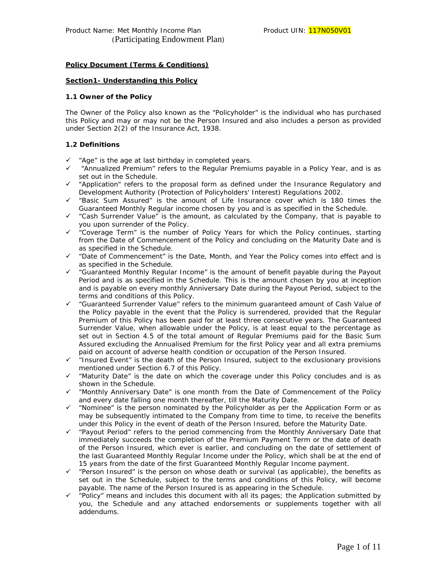## **Policy Document (Terms & Conditions)**

#### **Section1- Understanding this Policy**

### **1.1 Owner of the Policy**

The Owner of the Policy also known as the "Policyholder" is the individual who has purchased this Policy and may or may not be the Person Insured and also includes a person as provided under Section 2(2) of the Insurance Act, 1938.

### **1.2 Definitions**

- $\checkmark$  "Age" is the age at last birthday in completed years.
- $\checkmark$  "Annualized Premium" refers to the Regular Premiums payable in a Policy Year, and is as set out in the Schedule.
- $\checkmark$  "Application" refers to the proposal form as defined under the Insurance Regulatory and Development Authority (Protection of Policyholders' Interest) Regulations 2002.
- $\checkmark$  "Basic Sum Assured" is the amount of Life Insurance cover which is 180 times the Guaranteed Monthly Regular income chosen by you and is as specified in the Schedule.
- $\checkmark$  "Cash Surrender Value" is the amount, as calculated by the Company, that is payable to you upon surrender of the Policy.
- $\checkmark$  "Coverage Term" is the number of Policy Years for which the Policy continues, starting from the Date of Commencement of the Policy and concluding on the Maturity Date and is as specified in the Schedule.
- $\checkmark$  "Date of Commencement" is the Date, Month, and Year the Policy comes into effect and is as specified in the Schedule.
- $\checkmark$  "Guaranteed Monthly Regular Income" is the amount of benefit payable during the Payout Period and is as specified in the Schedule. This is the amount chosen by you at inception and is payable on every monthly Anniversary Date during the Payout Period, subject to the terms and conditions of this Policy.
- 9 "Guaranteed Surrender Value" refers to the minimum guaranteed amount of Cash Value of the Policy payable in the event that the Policy is surrendered, provided that the Regular Premium of this Policy has been paid for at least three consecutive years. The Guaranteed Surrender Value, when allowable under the Policy, is at least equal to the percentage as set out in Section 4.5 of the total amount of Regular Premiums paid for the Basic Sum Assured excluding the Annualised Premium for the first Policy year and all extra premiums paid on account of adverse health condition or occupation of the Person Insured.
- $\checkmark$  "Insured Event" is the death of the Person Insured, subject to the exclusionary provisions mentioned under Section 6.7 of this Policy.
- $\checkmark$  "Maturity Date" is the date on which the coverage under this Policy concludes and is as shown in the Schedule.
- $\checkmark$  "Monthly Anniversary Date" is one month from the Date of Commencement of the Policy and every date falling one month thereafter, till the Maturity Date.
- $\checkmark$  "Nominee" is the person nominated by the Policyholder as per the Application Form or as may be subsequently intimated to the Company from time to time, to receive the benefits under this Policy in the event of death of the Person Insured, before the Maturity Date.
- $\checkmark$  "Payout Period" refers to the period commencing from the Monthly Anniversary Date that immediately succeeds the completion of the Premium Payment Term or the date of death of the Person Insured, which ever is earlier, and concluding on the date of settlement of the last Guaranteed Monthly Regular Income under the Policy, which shall be at the end of 15 years from the date of the first Guaranteed Monthly Regular Income payment.
- $\checkmark$  "Person Insured" is the person on whose death or survival (as applicable), the benefits as set out in the Schedule, subject to the terms and conditions of this Policy, will become payable. The name of the Person Insured is as appearing in the Schedule.
- $\checkmark$  "Policy" means and includes this document with all its pages; the Application submitted by you, the Schedule and any attached endorsements or supplements together with all addendums.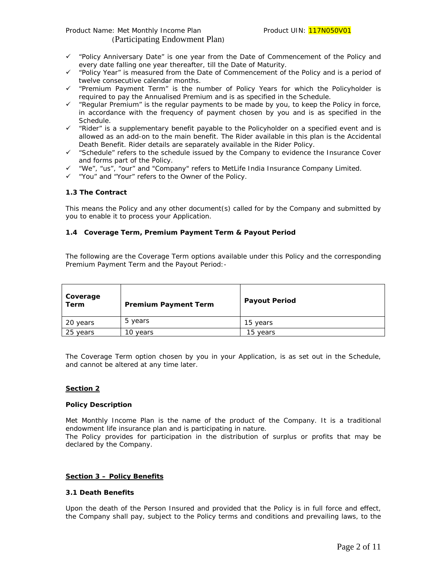Product Name: Met Monthly Income Plan Product UIN: <sup>117N050V01</sup> (Participating Endowment Plan)

- $\checkmark$  "Policy Anniversary Date" is one year from the Date of Commencement of the Policy and every date falling one year thereafter, till the Date of Maturity.
- 9 "Policy Year" is measured from the Date of Commencement of the Policy and is a period of twelve consecutive calendar months.
- 9 "Premium Payment Term" is the number of Policy Years for which the Policyholder is required to pay the Annualised Premium and is as specified in the Schedule.
- $\checkmark$  "Regular Premium" is the regular payments to be made by you, to keep the Policy in force, in accordance with the frequency of payment chosen by you and is as specified in the Schedule.
- 9 "Rider" is a supplementary benefit payable to the Policyholder on a specified event and is allowed as an add-on to the main benefit. The Rider available in this plan is the Accidental Death Benefit. Rider details are separately available in the Rider Policy.
- $\checkmark$  "Schedule" refers to the schedule issued by the Company to evidence the Insurance Cover and forms part of the Policy.
- $\checkmark$  "We", "us", "our" and "Company" refers to MetLife India Insurance Company Limited.
- $\checkmark$  "You" and "Your" refers to the Owner of the Policy.

### **1.3 The Contract**

This means the Policy and any other document(s) called for by the Company and submitted by you to enable it to process your Application.

## **1.4 Coverage Term, Premium Payment Term & Payout Period**

The following are the Coverage Term options available under this Policy and the corresponding Premium Payment Term and the Payout Period:-

| Coverage<br>Term | <b>Premium Payment Term</b> | <b>Payout Period</b> |
|------------------|-----------------------------|----------------------|
| 20 years         | 5 years                     | 15 years             |
| 25 years         | 10 vears                    | 15 vears             |

The Coverage Term option chosen by you in your Application, is as set out in the Schedule, and cannot be altered at any time later.

### **Section 2**

### **Policy Description**

Met Monthly Income Plan is the name of the product of the Company. It is a traditional endowment life insurance plan and is participating in nature.

The Policy provides for participation in the distribution of surplus or profits that may be declared by the Company.

### **Section 3 – Policy Benefits**

### **3.1 Death Benefits**

Upon the death of the Person Insured and provided that the Policy is in full force and effect, the Company shall pay, subject to the Policy terms and conditions and prevailing laws, to the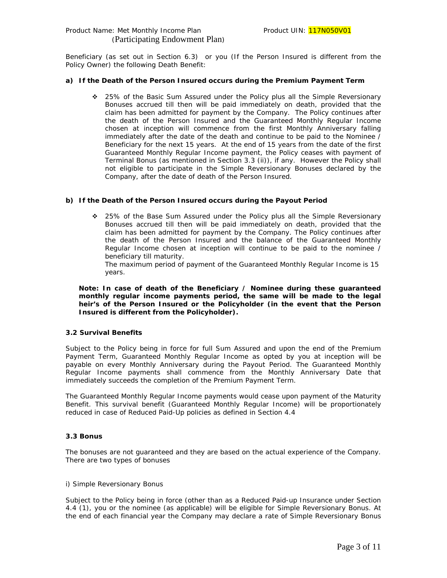Beneficiary (as set out in Section 6.3) or you (If the Person Insured is different from the Policy Owner) the following Death Benefit:

# **a) If the Death of the Person Insured occurs during the Premium Payment Term**

 25% of the Basic Sum Assured under the Policy plus all the Simple Reversionary Bonuses accrued till then will be paid immediately on death, provided that the claim has been admitted for payment by the Company. The Policy continues after the death of the Person Insured and the Guaranteed Monthly Regular Income chosen at inception will commence from the first Monthly Anniversary falling immediately after the date of the death and continue to be paid to the Nominee / Beneficiary for the next 15 years. At the end of 15 years from the date of the first Guaranteed Monthly Regular Income payment, the Policy ceases with payment of Terminal Bonus (as mentioned in Section 3.3 (ii)), if any. However the Policy shall not eligible to participate in the Simple Reversionary Bonuses declared by the Company, after the date of death of the Person Insured.

## **b) If the Death of the Person Insured occurs during the Payout Period**

 25% of the Base Sum Assured under the Policy plus all the Simple Reversionary Bonuses accrued till then will be paid immediately on death, provided that the claim has been admitted for payment by the Company. The Policy continues after the death of the Person Insured and the balance of the Guaranteed Monthly Regular Income chosen at inception will continue to be paid to the nominee / beneficiary till maturity.

 The maximum period of payment of the Guaranteed Monthly Regular Income is 15 years.

*Note: In case of death of the Beneficiary / Nominee during these guaranteed monthly regular income payments period, the same will be made to the legal heir's of the Person Insured or the Policyholder (in the event that the Person Insured is different from the Policyholder).* 

## **3.2 Survival Benefits**

Subject to the Policy being in force for full Sum Assured and upon the end of the Premium Payment Term, Guaranteed Monthly Regular Income as opted by you at inception will be payable on every Monthly Anniversary during the Payout Period. The Guaranteed Monthly Regular Income payments shall commence from the Monthly Anniversary Date that immediately succeeds the completion of the Premium Payment Term.

The Guaranteed Monthly Regular Income payments would cease upon payment of the Maturity Benefit. This survival benefit (Guaranteed Monthly Regular Income) will be proportionately reduced in case of Reduced Paid-Up policies as defined in Section 4.4

### **3.3 Bonus**

The bonuses are not guaranteed and they are based on the actual experience of the Company. There are two types of bonuses

#### i) Simple Reversionary Bonus

Subject to the Policy being in force (other than as a Reduced Paid-up Insurance under Section 4.4 (1), you or the nominee (as applicable) will be eligible for Simple Reversionary Bonus. At the end of each financial year the Company may declare a rate of Simple Reversionary Bonus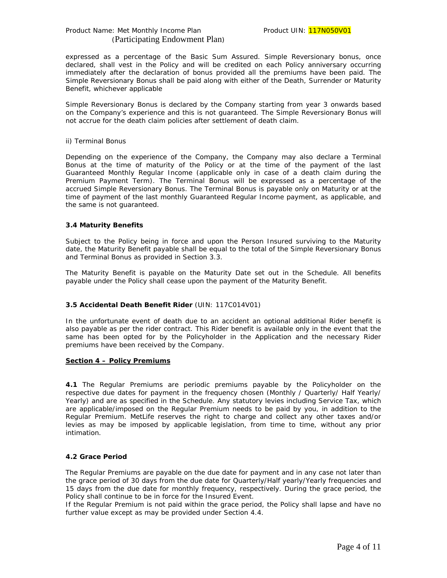## Product Name: Met Monthly Income Plan Product UIN: <sup>117N050V01</sup> (Participating Endowment Plan)

expressed as a percentage of the Basic Sum Assured. Simple Reversionary bonus, once declared, shall vest in the Policy and will be credited on each Policy anniversary occurring immediately after the declaration of bonus provided all the premiums have been paid. The Simple Reversionary Bonus shall be paid along with either of the Death, Surrender or Maturity Benefit, whichever applicable

Simple Reversionary Bonus is declared by the Company starting from year 3 onwards based on the Company's experience and this is not guaranteed. The Simple Reversionary Bonus will not accrue for the death claim policies after settlement of death claim.

### ii) Terminal Bonus

Depending on the experience of the Company, the Company may also declare a Terminal Bonus at the time of maturity of the Policy or at the time of the payment of the last Guaranteed Monthly Regular Income (applicable only in case of a death claim during the Premium Payment Term). The Terminal Bonus will be expressed as a percentage of the accrued Simple Reversionary Bonus. The Terminal Bonus is payable only on Maturity or at the time of payment of the last monthly Guaranteed Regular Income payment, as applicable, and the same is not guaranteed.

## **3.4 Maturity Benefits**

Subject to the Policy being in force and upon the Person Insured surviving to the Maturity date, the Maturity Benefit payable shall be equal to the total of the Simple Reversionary Bonus and Terminal Bonus as provided in Section 3.3.

The Maturity Benefit is payable on the Maturity Date set out in the Schedule. All benefits payable under the Policy shall cease upon the payment of the Maturity Benefit.

## **3.5 Accidental Death Benefit Rider** (UIN: 117C014V01)

In the unfortunate event of death due to an accident an optional additional Rider benefit is also payable as per the rider contract. This Rider benefit is available only in the event that the same has been opted for by the Policyholder in the Application and the necessary Rider premiums have been received by the Company.

### **Section 4 – Policy Premiums**

**4.1** The Regular Premiums are periodic premiums payable by the Policyholder on the respective due dates for payment in the frequency chosen (Monthly / Quarterly/ Half Yearly/ Yearly) and are as specified in the Schedule. Any statutory levies including Service Tax, which are applicable/imposed on the Regular Premium needs to be paid by you, in addition to the Regular Premium. MetLife reserves the right to charge and collect any other taxes and/or levies as may be imposed by applicable legislation, from time to time, without any prior intimation.

## **4.2 Grace Period**

The Regular Premiums are payable on the due date for payment and in any case not later than the grace period of 30 days from the due date for Quarterly/Half yearly/Yearly frequencies and 15 days from the due date for monthly frequency, respectively. During the grace period, the Policy shall continue to be in force for the Insured Event.

If the Regular Premium is not paid within the grace period, the Policy shall lapse and have no further value except as may be provided under Section 4.4.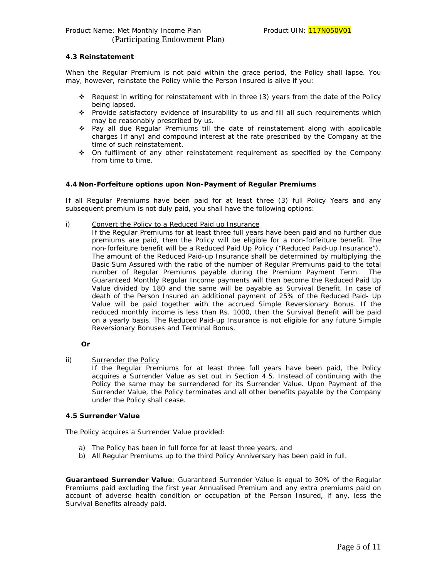### **4.3 Reinstatement**

When the Regular Premium is not paid within the grace period, the Policy shall lapse. You may, however, reinstate the Policy while the Person Insured is alive if you:

- Request in writing for reinstatement with in three (3) years from the date of the Policy being lapsed.
- \* Provide satisfactory evidence of insurability to us and fill all such requirements which may be reasonably prescribed by us.
- \* Pay all due Regular Premiums till the date of reinstatement along with applicable charges (if any) and compound interest at the rate prescribed by the Company at the time of such reinstatement.
- On fulfilment of any other reinstatement requirement as specified by the Company from time to time.

### **4.4 Non-Forfeiture options upon Non-Payment of Regular Premiums**

If all Regular Premiums have been paid for at least three (3) full Policy Years and any subsequent premium is not duly paid, you shall have the following options:

i) Convert the Policy to a Reduced Paid up Insurance

If the Regular Premiums for at least three full years have been paid and no further due premiums are paid, then the Policy will be eligible for a non-forfeiture benefit. The non-forfeiture benefit will be a Reduced Paid Up Policy ("Reduced Paid-up Insurance"). The amount of the Reduced Paid-up Insurance shall be determined by multiplying the Basic Sum Assured with the ratio of the number of Regular Premiums paid to the total number of Regular Premiums payable during the Premium Payment Term. The Guaranteed Monthly Regular Income payments will then become the Reduced Paid Up Value divided by 180 and the same will be payable as Survival Benefit. In case of death of the Person Insured an additional payment of 25% of the Reduced Paid- Up Value will be paid together with the accrued Simple Reversionary Bonus. If the reduced monthly income is less than Rs. 1000, then the Survival Benefit will be paid on a yearly basis. The Reduced Paid-up Insurance is not eligible for any future Simple Reversionary Bonuses and Terminal Bonus.

### **Or**

ii) Surrender the Policy

If the Regular Premiums for at least three full years have been paid, the Policy acquires a Surrender Value as set out in Section 4.5. Instead of continuing with the Policy the same may be surrendered for its Surrender Value. Upon Payment of the Surrender Value, the Policy terminates and all other benefits payable by the Company under the Policy shall cease.

### **4.5 Surrender Value**

The Policy acquires a Surrender Value provided:

- a) The Policy has been in full force for at least three years, and
- b) All Regular Premiums up to the third Policy Anniversary has been paid in full.

**Guaranteed Surrender Value**: Guaranteed Surrender Value is equal to 30% of the Regular Premiums paid excluding the first year Annualised Premium and any extra premiums paid on account of adverse health condition or occupation of the Person Insured, if any, less the Survival Benefits already paid.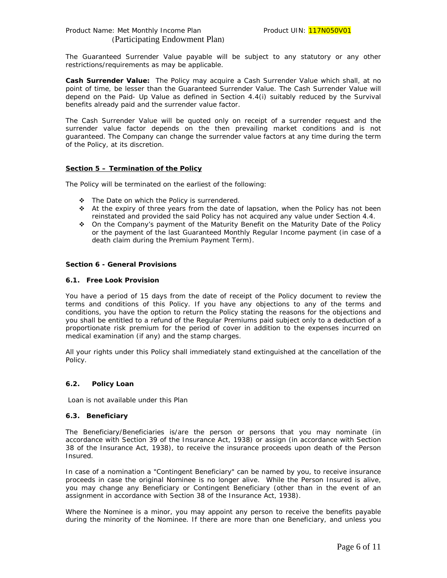The Guaranteed Surrender Value payable will be subject to any statutory or any other restrictions/requirements as may be applicable.

**Cash Surrender Value:** The Policy may acquire a Cash Surrender Value which shall, at no point of time, be lesser than the Guaranteed Surrender Value. The Cash Surrender Value will depend on the Paid- Up Value as defined in Section 4.4(i) suitably reduced by the Survival benefits already paid and the surrender value factor.

The Cash Surrender Value will be quoted only on receipt of a surrender request and the surrender value factor depends on the then prevailing market conditions and is not guaranteed. The Company can change the surrender value factors at any time during the term of the Policy, at its discretion.

## **Section 5 – Termination of the Policy**

The Policy will be terminated on the earliest of the following:

- \* The Date on which the Policy is surrendered.
- \* At the expiry of three years from the date of lapsation, when the Policy has not been reinstated and provided the said Policy has not acquired any value under Section 4.4.
- On the Company's payment of the Maturity Benefit on the Maturity Date of the Policy or the payment of the last Guaranteed Monthly Regular Income payment (in case of a death claim during the Premium Payment Term).

### **Section 6 - General Provisions**

### **6.1. Free Look Provision**

You have a period of 15 days from the date of receipt of the Policy document to review the terms and conditions of this Policy. If you have any objections to any of the terms and conditions, you have the option to return the Policy stating the reasons for the objections and you shall be entitled to a refund of the Regular Premiums paid subject only to a deduction of a proportionate risk premium for the period of cover in addition to the expenses incurred on medical examination (if any) and the stamp charges.

All your rights under this Policy shall immediately stand extinguished at the cancellation of the Policy.

### **6.2. Policy Loan**

Loan is not available under this Plan

### **6.3. Beneficiary**

The Beneficiary/Beneficiaries is/are the person or persons that you may nominate (in accordance with Section 39 of the Insurance Act, 1938) or assign (in accordance with Section 38 of the Insurance Act, 1938), to receive the insurance proceeds upon death of the Person Insured.

In case of a nomination a "Contingent Beneficiary" can be named by you, to receive insurance proceeds in case the original Nominee is no longer alive. While the Person Insured is alive, you may change any Beneficiary or Contingent Beneficiary (other than in the event of an assignment in accordance with Section 38 of the Insurance Act, 1938).

Where the Nominee is a minor, you may appoint any person to receive the benefits payable during the minority of the Nominee. If there are more than one Beneficiary, and unless you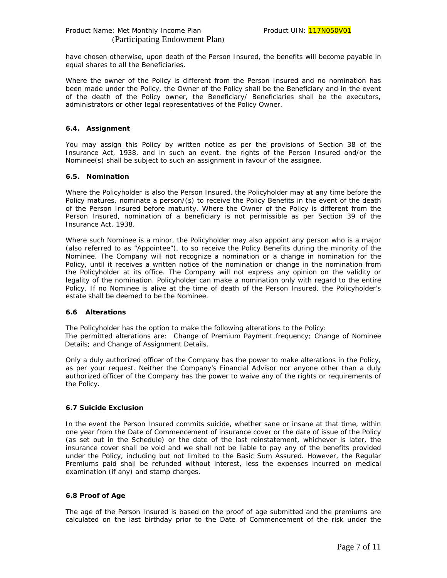have chosen otherwise, upon death of the Person Insured, the benefits will become payable in equal shares to all the Beneficiaries.

Where the owner of the Policy is different from the Person Insured and no nomination has been made under the Policy, the Owner of the Policy shall be the Beneficiary and in the event of the death of the Policy owner, the Beneficiary/ Beneficiaries shall be the executors, administrators or other legal representatives of the Policy Owner.

## **6.4. Assignment**

You may assign this Policy by written notice as per the provisions of Section 38 of the Insurance Act, 1938, and in such an event, the rights of the Person Insured and/or the Nominee(s) shall be subject to such an assignment in favour of the assignee.

## **6.5. Nomination**

Where the Policyholder is also the Person Insured, the Policyholder may at any time before the Policy matures, nominate a person/(s) to receive the Policy Benefits in the event of the death of the Person Insured before maturity. Where the Owner of the Policy is different from the Person Insured, nomination of a beneficiary is not permissible as per Section 39 of the Insurance Act, 1938.

Where such Nominee is a minor, the Policyholder may also appoint any person who is a major (also referred to as "Appointee"), to so receive the Policy Benefits during the minority of the Nominee. The Company will not recognize a nomination or a change in nomination for the Policy, until it receives a written notice of the nomination or change in the nomination from the Policyholder at its office. The Company will not express any opinion on the validity or legality of the nomination. Policyholder can make a nomination only with regard to the entire Policy. If no Nominee is alive at the time of death of the Person Insured, the Policyholder's estate shall be deemed to be the Nominee.

## **6.6 Alterations**

The Policyholder has the option to make the following alterations to the Policy: The permitted alterations are: Change of Premium Payment frequency; Change of Nominee Details; and Change of Assignment Details.

Only a duly authorized officer of the Company has the power to make alterations in the Policy, as per your request. Neither the Company's Financial Advisor nor anyone other than a duly authorized officer of the Company has the power to waive any of the rights or requirements of the Policy.

## **6.7 Suicide Exclusion**

In the event the Person Insured commits suicide, whether sane or insane at that time, within one year from the Date of Commencement of insurance cover or the date of issue of the Policy (as set out in the Schedule) or the date of the last reinstatement, whichever is later, the insurance cover shall be void and we shall not be liable to pay any of the benefits provided under the Policy, including but not limited to the Basic Sum Assured. However, the Regular Premiums paid shall be refunded without interest, less the expenses incurred on medical examination (if any) and stamp charges.

## **6.8 Proof of Age**

The age of the Person Insured is based on the proof of age submitted and the premiums are calculated on the last birthday prior to the Date of Commencement of the risk under the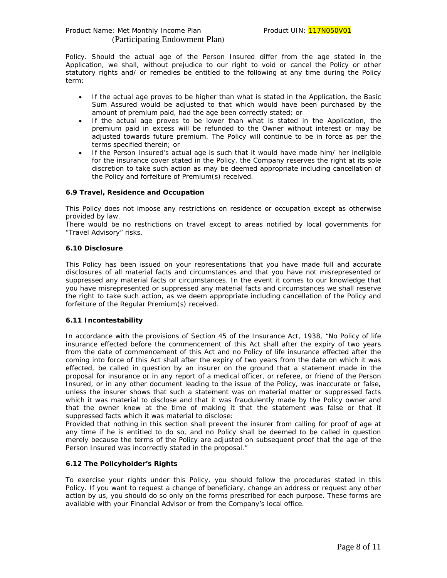Policy. Should the actual age of the Person Insured differ from the age stated in the Application, we shall, without prejudice to our right to void or cancel the Policy or other statutory rights and/ or remedies be entitled to the following at any time during the Policy term:

- If the actual age proves to be higher than what is stated in the Application, the Basic Sum Assured would be adjusted to that which would have been purchased by the amount of premium paid, had the age been correctly stated; or
- If the actual age proves to be lower than what is stated in the Application, the premium paid in excess will be refunded to the Owner without interest or may be adjusted towards future premium. The Policy will continue to be in force as per the terms specified therein; or
- If the Person Insured's actual age is such that it would have made him/ her ineligible for the insurance cover stated in the Policy, the Company reserves the right at its sole discretion to take such action as may be deemed appropriate including cancellation of the Policy and forfeiture of Premium(s) received.

## **6.9 Travel, Residence and Occupation**

This Policy does not impose any restrictions on residence or occupation except as otherwise provided by law.

There would be no restrictions on travel except to areas notified by local governments for "Travel Advisory" risks.

## **6.10 Disclosure**

This Policy has been issued on your representations that you have made full and accurate disclosures of all material facts and circumstances and that you have not misrepresented or suppressed any material facts or circumstances. In the event it comes to our knowledge that you have misrepresented or suppressed any material facts and circumstances we shall reserve the right to take such action, as we deem appropriate including cancellation of the Policy and forfeiture of the Regular Premium(s) received.

## **6.11 Incontestability**

In accordance with the provisions of Section 45 of the Insurance Act, 1938, "No Policy of life insurance effected before the commencement of this Act shall after the expiry of two years from the date of commencement of this Act and no Policy of life insurance effected after the coming into force of this Act shall after the expiry of two years from the date on which it was effected, be called in question by an insurer on the ground that a statement made in the proposal for insurance or in any report of a medical officer, or referee, or friend of the Person Insured, or in any other document leading to the issue of the Policy, was inaccurate or false, unless the insurer shows that such a statement was on material matter or suppressed facts which it was material to disclose and that it was fraudulently made by the Policy owner and that the owner knew at the time of making it that the statement was false or that it suppressed facts which it was material to disclose:

Provided that nothing in this section shall prevent the insurer from calling for proof of age at any time if he is entitled to do so, and no Policy shall be deemed to be called in question merely because the terms of the Policy are adjusted on subsequent proof that the age of the Person Insured was incorrectly stated in the proposal."

# **6.12 The Policyholder's Rights**

To exercise your rights under this Policy, you should follow the procedures stated in this Policy. If you want to request a change of beneficiary, change an address or request any other action by us, you should do so only on the forms prescribed for each purpose. These forms are available with your Financial Advisor or from the Company's local office.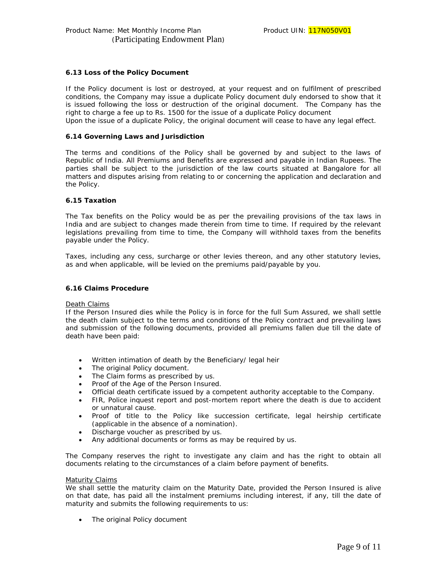### **6.13 Loss of the Policy Document**

If the Policy document is lost or destroyed, at your request and on fulfilment of prescribed conditions, the Company may issue a duplicate Policy document duly endorsed to show that it is issued following the loss or destruction of the original document. The Company has the right to charge a fee up to Rs. 1500 for the issue of a duplicate Policy document

Upon the issue of a duplicate Policy, the original document will cease to have any legal effect.

### **6.14 Governing Laws and Jurisdiction**

The terms and conditions of the Policy shall be governed by and subject to the laws of Republic of India. All Premiums and Benefits are expressed and payable in Indian Rupees. The parties shall be subject to the jurisdiction of the law courts situated at Bangalore for all matters and disputes arising from relating to or concerning the application and declaration and the Policy.

## **6.15 Taxation**

The Tax benefits on the Policy would be as per the prevailing provisions of the tax laws in India and are subject to changes made therein from time to time. If required by the relevant legislations prevailing from time to time, the Company will withhold taxes from the benefits payable under the Policy.

Taxes, including any cess, surcharge or other levies thereon, and any other statutory levies, as and when applicable, will be levied on the premiums paid/payable by you.

### **6.16 Claims Procedure**

### *Death Claims*

If the Person Insured dies while the Policy is in force for the full Sum Assured, we shall settle the death claim subject to the terms and conditions of the Policy contract and prevailing laws and submission of the following documents, provided all premiums fallen due till the date of death have been paid:

- Written intimation of death by the Beneficiary/ legal heir
- The original Policy document.
- The Claim forms as prescribed by us.
- Proof of the Age of the Person Insured.
- Official death certificate issued by a competent authority acceptable to the Company.
- FIR, Police inquest report and post-mortem report where the death is due to accident or unnatural cause.
- Proof of title to the Policy like succession certificate, legal heirship certificate (applicable in the absence of a nomination).
- Discharge voucher as prescribed by us.
- Any additional documents or forms as may be required by us.

The Company reserves the right to investigate any claim and has the right to obtain all documents relating to the circumstances of a claim before payment of benefits.

### *Maturity Claims*

We shall settle the maturity claim on the Maturity Date, provided the Person Insured is alive on that date, has paid all the instalment premiums including interest, if any, till the date of maturity and submits the following requirements to us:

• The original Policy document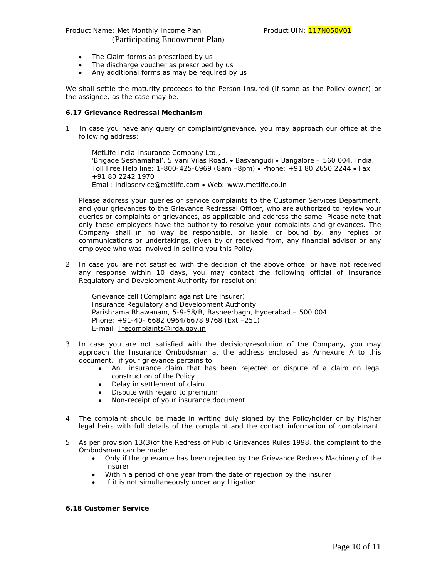- The Claim forms as prescribed by us
- The discharge voucher as prescribed by us
- Any additional forms as may be required by us

We shall settle the maturity proceeds to the Person Insured (if same as the Policy owner) or the assignee, as the case may be.

### **6.17 Grievance Redressal Mechanism**

1. In case you have any query or complaint/grievance, you may approach our office at the following address:

MetLife India Insurance Company Ltd., 'Brigade Seshamahal', 5 Vani Vilas Road, • Basvangudi • Bangalore – 560 004, India. Toll Free Help line: 1-800-425-6969 (8am –8pm) • Phone: +91 80 2650 2244 • Fax +91 80 2242 1970 Email: [indiaservice@metlife.com](mailto:indiaservice@metlife.com) • Web: www.metlife.co.in

Please address your queries or service complaints to the Customer Services Department, and your grievances to the Grievance Redressal Officer, who are authorized to review your queries or complaints or grievances, as applicable and address the same. Please note that only these employees have the authority to resolve your complaints and grievances. The Company shall in no way be responsible, or liable, or bound by, any replies or communications or undertakings, given by or received from, any financial advisor or any employee who was involved in selling you this Policy.

2. In case you are not satisfied with the decision of the above office, or have not received any response within 10 days, you may contact the following official of Insurance Regulatory and Development Authority for resolution:

Grievance cell (Complaint against Life insurer) Insurance Regulatory and Development Authority Parishrama Bhawanam, 5-9-58/B, Basheerbagh, Hyderabad – 500 004. Phone: +91-40- 6682 0964/6678 9768 (Ext –251) E-mail: [lifecomplaints@irda.gov.in](mailto:lifecomplaints@irda.gov.in) 

- 3. In case you are not satisfied with the decision/resolution of the Company, you may approach the Insurance Ombudsman at the address enclosed as Annexure A to this document, if your grievance pertains to:
	- An insurance claim that has been rejected or dispute of a claim on legal construction of the Policy
	- Delay in settlement of claim
	- Dispute with regard to premium
	- Non-receipt of your insurance document
- 4. The complaint should be made in writing duly signed by the Policyholder or by his/her legal heirs with full details of the complaint and the contact information of complainant.
- 5. As per provision 13(3)of the Redress of Public Grievances Rules 1998, the complaint to the Ombudsman can be made:
	- Only if the grievance has been rejected by the Grievance Redress Machinery of the Insurer
	- Within a period of one year from the date of rejection by the insurer
	- If it is not simultaneously under any litigation.

### **6.18 Customer Service**